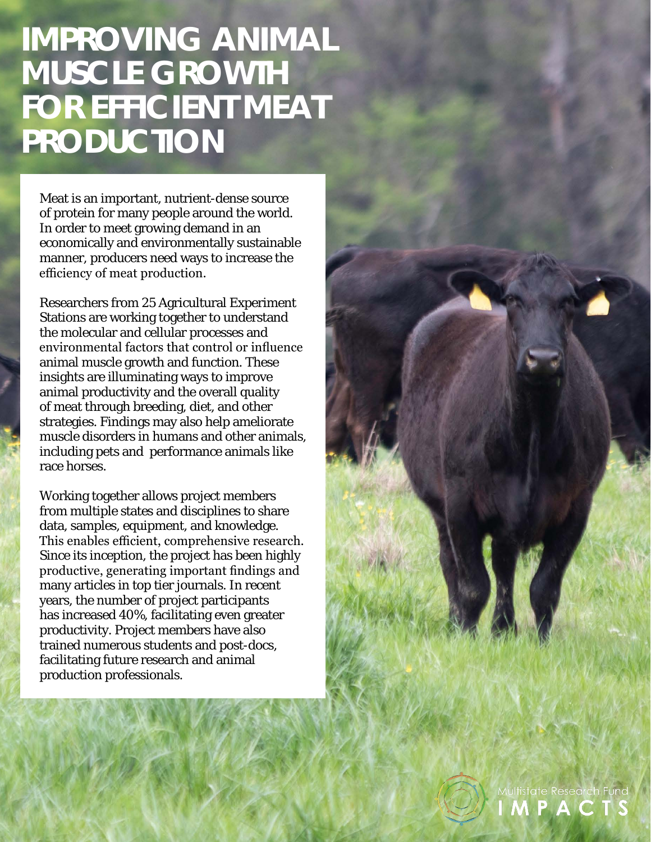## **IMPROVING ANIMAL MUSCLE GROWTH FOR EFFICIENT MEAT PRODUCTION**

Meat is an important, nutrient-dense source of protein for many people around the world. In order to meet growing demand in an economically and environmentally sustainable manner, producers need ways to increase the efficiency of meat production.

Researchers from 25 Agricultural Experiment Stations are working together to understand the molecular and cellular processes and environmental factors that control or influence animal muscle growth and function. These insights are illuminating ways to improve animal productivity and the overall quality of meat through breeding, diet, and other strategies. Findings may also help ameliorate muscle disorders in humans and other animals, including pets and performance animals like race horses.

Working together allows project members from multiple states and disciplines to share data, samples, equipment, and knowledge. This enables efficient, comprehensive research. Since its inception, the project has been highly productive, generating important findings and many articles in top tier journals. In recent years, the number of project participants has increased 40%, facilitating even greater productivity. Project members have also trained numerous students and post-docs, facilitating future research and animal production professionals.